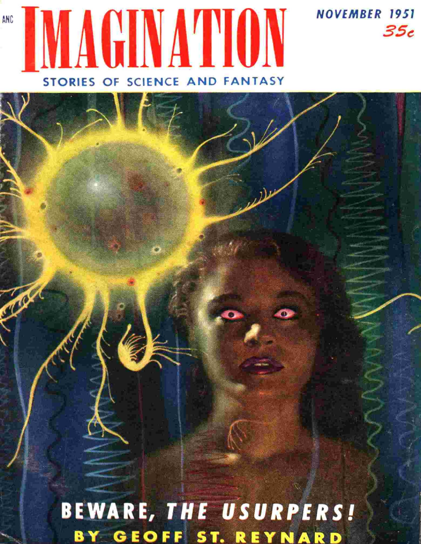# AGINATION STORIES OF SCIENCE AND FANTASY

ANC

**CYANA** 

**NOVEMBER 1951** 

35с

BEWARE, THE USURPERS! BY GEOFF ST. REYNARD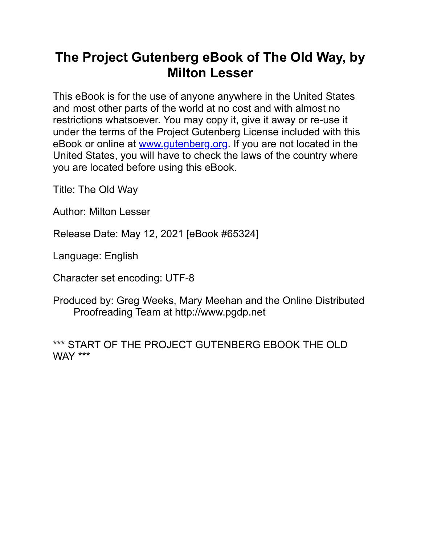#### **The Project Gutenberg eBook of The Old Way, by Mlton Lesser**

This eBook is for the use of anyone anywhere in the United States and most other parts of the world at no cost and with almost no restrictions whatsoever. You may copy it, give it away or re-use it under the terms of the Project Gutenberg License included with this eBook or online at [www.gutenberg.org.](https://www.gutenberg.org/) If you are not located in the United States, you will have to check the laws of the country where you are located before using this eBook.

Title: The Old Way

Author: Milton Lesser

Release Date: May 12, 2021 [eBook #65324]

Language: English

Character set encoding: UTF-8

Produced by: Greg Weeks, Mary Meehan and the Online Distributed Proofreadng Team at http://www.pgdp.net

\*\*\* START OF THE PROJECT GUTENBERG EBOOK THE OLD WAY \*\*\*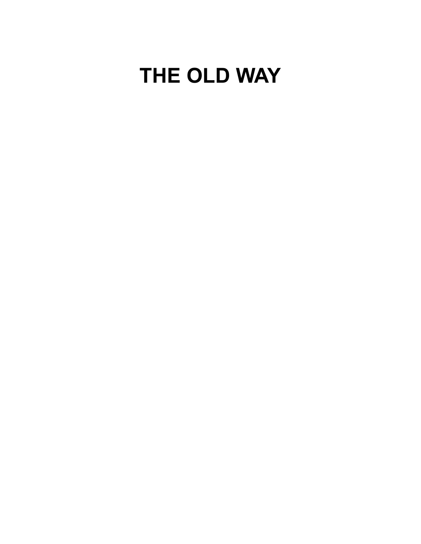# **THE OLD WAY**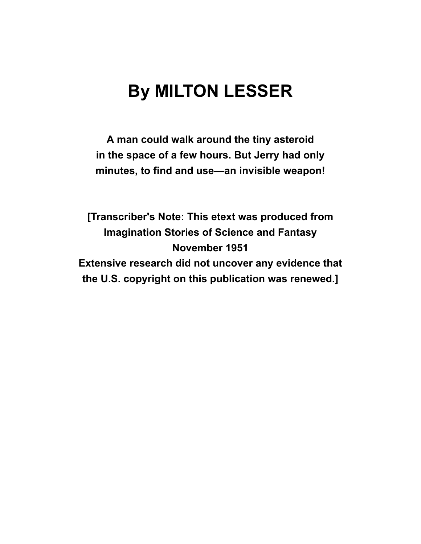# **By MILTON LESSER**

A man could walk around the tiny asteroid **n the space of a few hours. But Jerry had only** minutes, to find and use—an invisible weapon!

**[Transcriber's Note: This etext was produced from Imagination Stories of Science and Fantasy November 1951 Extensive research did not uncover any evidence that** the U.S. copyright on this publication was renewed.]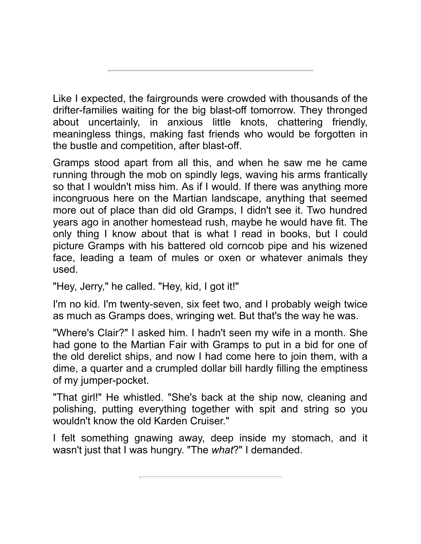Like I expected, the fairgrounds were crowded with thousands of the drifter-families waiting for the big blast-off tomorrow. They thronged about uncertainly, in anxious little knots, chattering friendly, meaningless things, making fast friends who would be forgotten in the bustle and competition, after blast-off.

Gramps stood apart from all this, and when he saw me he came running through the mob on spindly legs, waving his arms frantically so that I wouldn't miss him. As if I would. If there was anything more incongruous here on the Martian landscape, anything that seemed more out of place than did old Gramps, I didn't see it. Two hundred years ago in another homestead rush, maybe he would have fit. The only thing I know about that is what I read in books, but I could picture Gramps with his battered old corncob pipe and his wizened face, leading a team of mules or oxen or whatever animals they used.

"Hey, Jerry," he called. "Hey, kid, I got it!"

I'm no kid. I'm twenty-seven, six feet two, and I probably weigh twice as much as Gramps does, wringing wet. But that's the way he was.

"Where's Clair?" I asked him. I hadn't seen my wife in a month. She had gone to the Martian Fair with Gramps to put in a bid for one of the old derelict ships, and now I had come here to join them, with a dime, a quarter and a crumpled dollar bill hardly filling the emptiness of my jumper-pocket.

"That girl!" He whistled. "She's back at the ship now, cleaning and polishing, putting everything together with spit and string so you wouldn't know the old Karden Cruiser."

I felt something gnawing away, deep inside my stomach, and it wasn't just that I was hungry. "The *what*?" I demanded.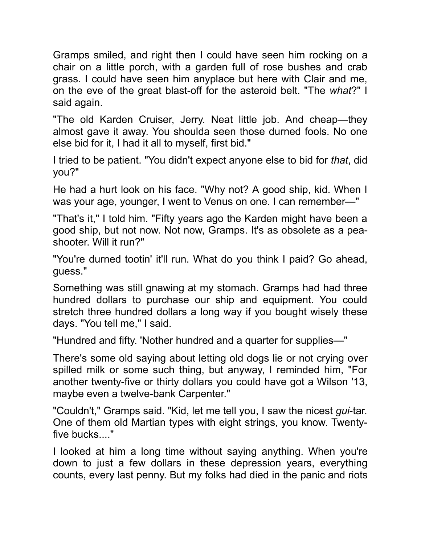Gramps smiled, and right then I could have seen him rocking on a chair on a little porch, with a garden full of rose bushes and crab grass. I could have seen him anyplace but here with Clair and me, on the eve of the great blast-off for the asterod belt. "The *what*?" I said again.

"The old Karden Cruiser, Jerry. Neat little job. And cheap—they almost gave it away. You shoulda seen those durned fools. No one else bid for it, I had it all to myself, first bid."

I tried to be patient. "You didn't expect anyone else to bid for *that*, did you?"

He had a hurt look on his face. "Why not? A good ship, kid. When I was your age, younger, I went to Venus on one. I can remember—"

"That's it," I told him. "Fifty years ago the Karden might have been a good ship, but not now. Not now, Gramps. It's as obsolete as a peashooter. Will it run?"

"You're durned tootin' it'll run. What do you think I paid? Go ahead, guess."

Something was still gnawing at my stomach. Gramps had had three hundred dollars to purchase our ship and equipment. You could stretch three hundred dollars a long way if you bought wisely these days. "You tell me," I said.

"Hundred and ffty. 'Nother hundred and a quarter for supples—"

There's some old saying about letting old dogs lie or not crying over spilled milk or some such thing, but anyway, I reminded him, "For another twenty-five or thirty dollars you could have got a Wilson '13, maybe even a twelve-bank Carpenter."

"Couldn't," Gramps said. "Kid, let me tell you, I saw the nicest *gui-tar.* One of them old Martian types with eight strings, you know. Twentyfive bucks...."

I looked at him a long time without saying anything. When you're down to just a few dollars in these depression years, everything counts, every last penny. But my folks had died in the panic and riots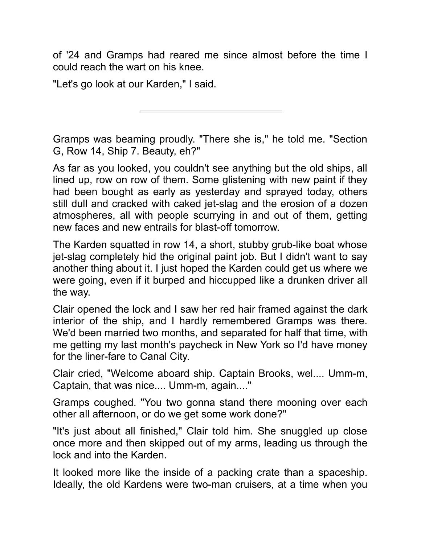of '24 and Gramps had reared me since almost before the time I could reach the wart on his knee.

"Let's go look at our Karden." I said.

Gramps was beaming proudly. "There she is," he told me. "Section G, Row 14, Ship 7. Beauty, eh?"

As far as you looked, you couldn't see anything but the old ships, all lined up, row on row of them. Some glistening with new paint if they had been bought as early as yesterday and sprayed today, others still dull and cracked with caked jet-slag and the erosion of a dozen atmospheres, all with people scurrying in and out of them, getting new faces and new entrals for blast-off tomorrow.

The Karden squatted in row 14, a short, stubby grub-like boat whose jet-slag completely hid the original paint job. But I didn't want to say another thing about it. I just hoped the Karden could get us where we were going, even if it burped and hiccupped like a drunken driver all the way.

Clair opened the lock and I saw her red hair framed against the dark interior of the ship, and I hardly remembered Gramps was there. We'd been married two months, and separated for half that time, with me getting my last month's paycheck in New York so I'd have money for the liner-fare to Canal City.

Clair cried, "Welcome aboard ship. Captain Brooks, wel.... Umm-m, Captain, that was nice.... Umm-m, again...."

Gramps coughed. "You two gonna stand there mooning over each other all afternoon, or do we get some work done?"

"It's just about all finished," Clair told him. She snuggled up close once more and then skipped out of my arms, leading us through the lock and into the Karden.

It looked more like the inside of a packing crate than a spaceship. Ideally, the old Kardens were two-man cruisers, at a time when you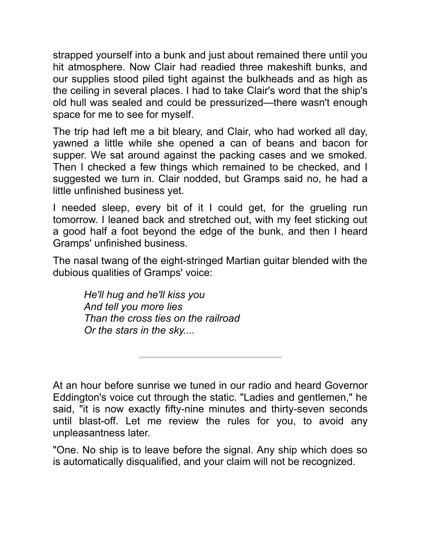strapped yourself into a bunk and just about remained there until you hit atmosphere. Now Clair had readied three makeshift bunks, and our supplies stood piled tight against the bulkheads and as high as the ceiling in several places. I had to take Clair's word that the ship's old hull was sealed and could be pressurized—there wasn't enough space for me to see for myself.

The trip had left me a bit bleary, and Clair, who had worked all day, yawned a little while she opened a can of beans and bacon for supper. We sat around against the packing cases and we smoked. Then I checked a few things which remained to be checked, and I suggested we turn in. Clair nodded, but Gramps said no, he had a little unfinished business yet.

I needed sleep, every bit of it I could get, for the grueling run tomorrow. I leaned back and stretched out, with my feet sticking out a good half a foot beyond the edge of the bunk, and then I heard Gramps' unfinished business.

The nasal twang of the eight-stringed Martian guitar blended with the dubious qualities of Gramps' voice:

*He'll hug and he'll kss you And tell you more les Than the cross tes on the ralroad Or the stars in the sky....* 

At an hour before sunrise we tuned in our radio and heard Governor Eddington's voice cut through the static. "Ladies and gentlemen," he said, "it is now exactly fifty-nine minutes and thirty-seven seconds until blast-off. Let me review the rules for you, to avoid any unpleasantness later.

"One. No ship is to leave before the signal. Any ship which does so is automatically disqualified, and your claim will not be recognized.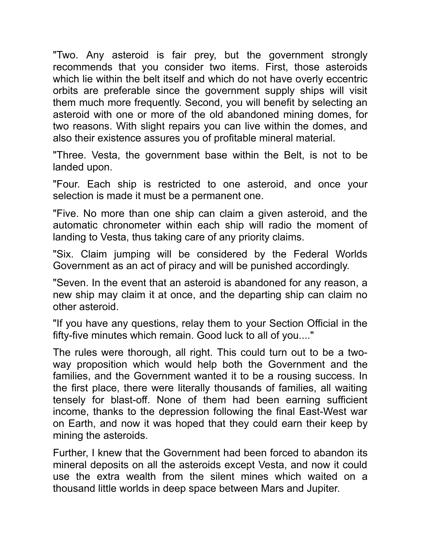"Two. Any asteroid is fair prey, but the government strongly recommends that you consider two items. First, those asteroids which lie within the belt itself and which do not have overly eccentric orbits are preferable since the government supply ships will visit them much more frequently. Second, you will benefit by selecting an asteroid with one or more of the old abandoned mining domes, for two reasons. With slight repairs you can live within the domes, and also their existence assures you of profitable mineral material.

"Three. Vesta, the government base within the Belt, is not to be landed upon.

"Four. Each ship is restricted to one asteroid, and once your selection is made it must be a permanent one.

"Five. No more than one ship can claim a given asteroid, and the automatic chronometer within each ship will radio the moment of landing to Vesta, thus taking care of any priority claims.

"Six. Claim jumping will be considered by the Federal Worlds Government as an act of piracy and will be punished accordingly.

"Seven. In the event that an asteroid is abandoned for any reason, a new ship may claim it at once, and the departing ship can claim no other asteroid.

"If you have any questions, relay them to your Section Official in the fifty-five minutes which remain. Good luck to all of you...."

The rules were thorough, all right. This could turn out to be a twoway proposition which would help both the Government and the families, and the Government wanted it to be a rousing success. In the first place, there were literally thousands of families, all waiting tensely for blast-off. None of them had been earning sufficient income, thanks to the depression following the final East-West war on Earth, and now it was hoped that they could earn their keep by mining the asteroids.

Further, I knew that the Government had been forced to abandon its mineral deposits on all the asteroids except Vesta, and now it could use the extra wealth from the silent mines which waited on a thousand little worlds in deep space between Mars and Jupiter.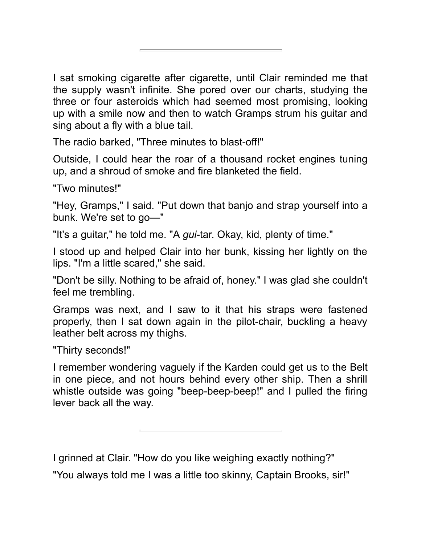I sat smoking cigarette after cigarette, until Clair reminded me that the supply wasn't infinite. She pored over our charts, studying the three or four asteroids which had seemed most promising, looking up with a smile now and then to watch Gramps strum his quitar and sing about a fly with a blue tail.

The radio barked, "Three minutes to blast-off!"

Outside, I could hear the roar of a thousand rocket engines tuning up, and a shroud of smoke and fire blanketed the field.

"Two minutes!"

"Hey, Gramps," I said. "Put down that banjo and strap yourself into a bunk. We're set to go—"

"It's a quitar," he told me. "A *qui*-tar. Okay, kid, plenty of time."

I stood up and helped Clair into her bunk, kissing her lightly on the lips. "I'm a little scared," she said.

"Don't be silly. Nothing to be afraid of, honey." I was glad she couldn't feel me trembling.

Gramps was next, and I saw to it that his straps were fastened properly, then I sat down again in the pilot-chair, buckling a heavy leather belt across my thighs.

"Thirty seconds!"

I remember wondering vaguely if the Karden could get us to the Belt in one piece, and not hours behind every other ship. Then a shrill whistle outside was going "beep-beep-beep!" and I pulled the firing lever back all the way.

I grinned at Clair. "How do you like weighing exactly nothing?"

"You always told me I was a little too skinny, Captain Brooks, sir!"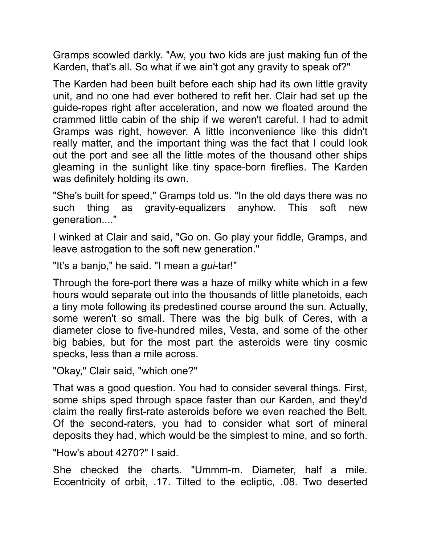Gramps scowled darkly. "Aw, you two kids are just making fun of the Karden, that's all. So what if we ain't got any gravity to speak of?"

The Karden had been built before each ship had its own little gravity unit, and no one had ever bothered to refit her. Clair had set up the guide-ropes right after acceleration, and now we floated around the crammed little cabin of the ship if we weren't careful. I had to admit Gramps was right, however. A little inconvenience like this didn't really matter, and the important thing was the fact that I could look out the port and see all the little motes of the thousand other ships gleaming in the sunlight like tiny space-born fireflies. The Karden was definitely holding its own.

"She's bult for speed," Gramps told us. "In the old days there was no such thing as gravity-equalizers anyhow. This soft new generation...."

I winked at Clair and said, "Go on. Go play your fiddle, Gramps, and leave astrogation to the soft new generation."

"It's a banjo," he said. "I mean a *gui-tar!*"

Through the fore-port there was a haze of milky white which in a few hours would separate out into the thousands of little planetoids, each a tiny mote following its predestined course around the sun. Actually, some weren't so small. There was the big bulk of Ceres, with a diameter close to five-hundred miles, Vesta, and some of the other big babies, but for the most part the asteroids were tiny cosmic specks, less than a mile across.

"Okay," Clair said, "which one?"

That was a good question. You had to consider several things. First, some ships sped through space faster than our Karden, and they'd claim the really first-rate asteroids before we even reached the Belt. Of the second-raters, you had to consider what sort of mineral deposits they had, which would be the simplest to mine, and so forth.

"How's about 4270?" I said.

She checked the charts. "Ummm-m. Diameter, half a mile. Eccentricity of orbit, .17. Tilted to the ecliptic, .08. Two deserted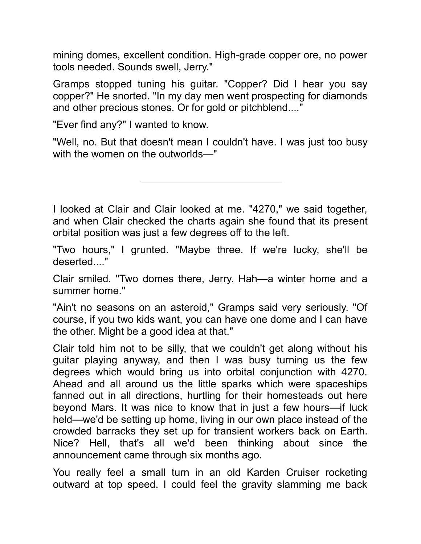mining domes, excellent condition. High-grade copper ore, no power tools needed. Sounds swell, Jerry."

Gramps stopped tuning his guitar. "Copper? Did I hear you say copper?" He snorted. "In my day men went prospecting for diamonds and other precious stones. Or for gold or pitchblend...."

"Ever find any?" I wanted to know.

"Well, no. But that doesn't mean I couldn't have. I was just too busy with the women on the outworlds—"

I looked at Clair and Clair looked at me. "4270," we said together, and when Clair checked the charts again she found that its present orbital position was just a few degrees off to the left.

"Two hours," I grunted. "Maybe three. If we're lucky, she'll be deserted...."

Clair smiled. "Two domes there, Jerry. Hah—a winter home and a summer home."

"Ain't no seasons on an asteroid," Gramps said very seriously. "Of course, if you two kids want, you can have one dome and I can have the other. Might be a good idea at that."

Clair told him not to be silly, that we couldn't get along without his guitar playing anyway, and then I was busy turning us the few degrees which would bring us into orbital conjunction with 4270. Ahead and all around us the little sparks which were spaceships fanned out in all directions, hurtling for their homesteads out here beyond Mars. It was nice to know that in just a few hours—if luck held—we'd be setting up home, living in our own place instead of the crowded barracks they set up for transient workers back on Earth. Nice? Hell, that's all we'd been thinking about since the announcement came through six months ago.

You really feel a small turn in an old Karden Cruiser rocketing outward at top speed. I could feel the gravity slamming me back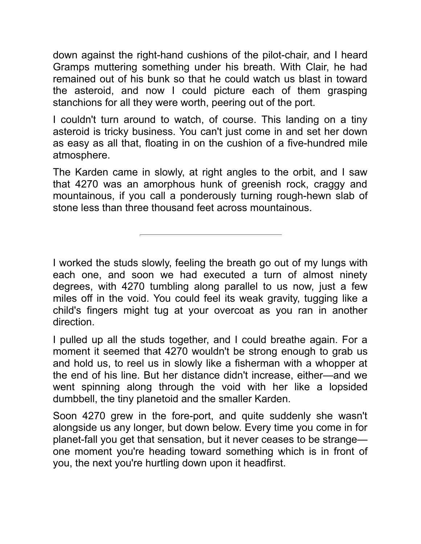down against the right-hand cushions of the pilot-chair, and I heard Gramps muttering something under his breath. With Clair, he had remained out of his bunk so that he could watch us blast in toward the asteroid, and now I could picture each of them grasping stanchions for all they were worth, peering out of the port.

I couldn't turn around to watch, of course. This landing on a tiny asteroid is tricky business. You can't just come in and set her down as easy as all that, floating in on the cushion of a five-hundred mile atmosphere.

The Karden came in slowly, at right angles to the orbit, and I saw that 4270 was an amorphous hunk of greenish rock, craggy and mountainous, if you call a ponderously turning rough-hewn slab of stone less than three thousand feet across mountainous.

I worked the studs slowly, feeling the breath go out of my lungs with each one, and soon we had executed a turn of almost ninety degrees, with 4270 tumbling along parallel to us now, just a few miles off in the void. You could feel its weak gravity, tugging like a child's fingers might tug at your overcoat as you ran in another direction.

I pulled up all the studs together, and I could breathe again. For a moment it seemed that 4270 wouldn't be strong enough to grab us and hold us, to reel us in slowly like a fisherman with a whopper at the end of his line. But her distance didn't increase, either—and we went spinning along through the void with her like a lopsided dumbbell, the tiny planetoid and the smaller Karden.

Soon 4270 grew in the fore-port, and quite suddenly she wasn't alongside us any longer, but down below. Every time you come in for planet-fall you get that sensation, but it never ceases to be strange one moment you're heading toward something which is in front of you, the next you're hurtling down upon it headfirst.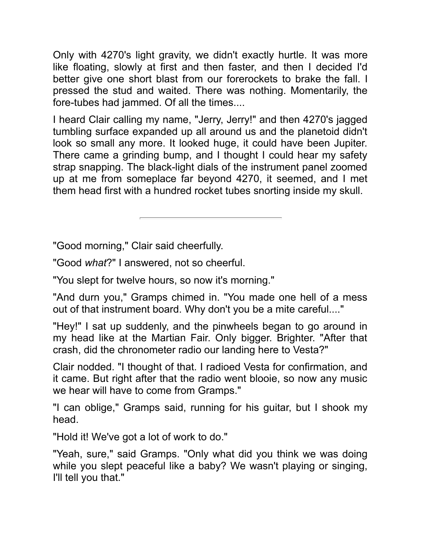Only with 4270's light gravity, we didn't exactly hurtle. It was more like floating, slowly at first and then faster, and then I decided I'd better give one short blast from our forerockets to brake the fall. I pressed the stud and waited. There was nothing. Momentarily, the fore-tubes had jammed. Of all the times....

I heard Clair calling my name, "Jerry, Jerry!" and then 4270's jagged tumbling surface expanded up all around us and the planetoid didn't look so small any more. It looked huge, it could have been Jupiter. There came a grinding bump, and I thought I could hear my safety strap snapping. The black-light dials of the instrument panel zoomed up at me from someplace far beyond 4270, it seemed, and I met them head first with a hundred rocket tubes snorting inside my skull.

"Good morning," Clair said cheerfully.

"Good *what*?" I answered, not so cheerful.

"You slept for twelve hours, so now it's morning."

"And durn you," Gramps chimed in. "You made one hell of a mess out of that instrument board. Why don't you be a mite careful...."

"Hey!" I sat up suddenly, and the pinwheels began to go around in my head like at the Martian Fair. Only bigger. Brighter. "After that crash, did the chronometer radio our landing here to Vesta?"

Clair nodded. "I thought of that. I radioed Vesta for confirmation, and it came. But right after that the radio went blooie, so now any music we hear will have to come from Gramps."

"I can oblige," Gramps said, running for his quitar, but I shook my head.

"Hold it! We've got a lot of work to do."

"Yeah, sure," said Gramps. "Only what did you think we was doing while you slept peaceful like a baby? We wasn't playing or singing, I'll tell you that."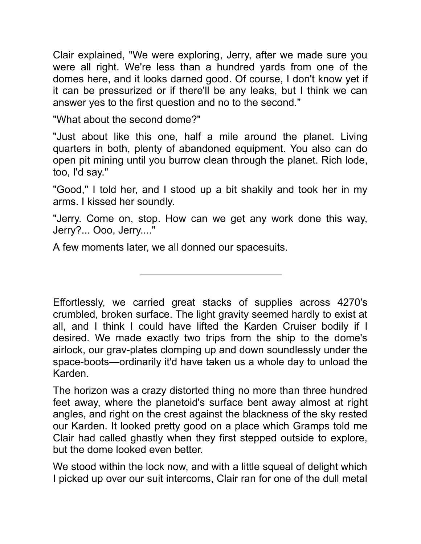Clair explained, "We were exploring, Jerry, after we made sure you were all right. We're less than a hundred yards from one of the domes here, and it looks darned good. Of course, I don't know yet if it can be pressurized or if there'll be any leaks, but I think we can answer yes to the first question and no to the second."

"What about the second dome?"

"Just about like this one, half a mile around the planet. Living quarters in both, plenty of abandoned equipment. You also can do open pit mining until you burrow clean through the planet. Rich lode, too, I'd say."

"Good," I told her, and I stood up a bit shakily and took her in my arms. I kissed her soundly.

"Jerry. Come on, stop. How can we get any work done this way, Jerry?... Ooo, Jerry...."

A few moments later, we all donned our spacesuts.

Effortlessly, we carried great stacks of supplies across 4270's crumbled, broken surface. The light gravity seemed hardly to exist at all, and I think I could have lifted the Karden Cruiser bodily if I desired. We made exactly two trips from the ship to the dome's airlock, our grav-plates clomping up and down soundlessly under the space-boots—ordinarily it'd have taken us a whole day to unload the Karden.

The horizon was a crazy distorted thing no more than three hundred feet away, where the planetoid's surface bent away almost at right angles, and right on the crest against the blackness of the sky rested our Karden. It looked pretty good on a place which Gramps told me Clair had called ghastly when they first stepped outside to explore, but the dome looked even better.

We stood within the lock now, and with a little squeal of delight which I picked up over our suit intercoms, Clair ran for one of the dull metal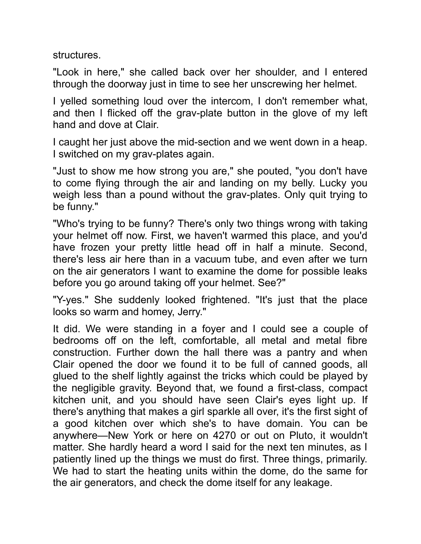structures.

"Look in here," she called back over her shoulder, and I entered through the doorway just in time to see her unscrewing her helmet.

I yelled something loud over the intercom, I don't remember what, and then I flicked off the grav-plate button in the glove of my left hand and dove at Clair.

I caught her just above the mid-section and we went down in a heap. I switched on my grav-plates again.

"Just to show me how strong you are," she pouted, "you don't have to come flying through the air and landing on my belly. Lucky you weigh less than a pound without the grav-plates. Only quit trying to be funny."

"Who's trying to be funny? There's only two things wrong with taking your helmet off now. First, we haven't warmed this place, and you'd have frozen your pretty little head off in half a minute. Second, there's less air here than in a vacuum tube, and even after we turn on the air generators I want to examine the dome for possible leaks before you go around taking off your helmet. See?"

"Y-yes." She suddenly looked frightened. "It's just that the place looks so warm and homey, Jerry."

It did. We were standing in a foyer and I could see a couple of bedrooms off on the left, comfortable, all metal and metal fibre construction. Further down the hall there was a pantry and when Clair opened the door we found it to be full of canned goods, all glued to the shelf lightly against the tricks which could be played by the negligible gravity. Beyond that, we found a first-class, compact kitchen unit, and you should have seen Clair's eyes light up. If there's anything that makes a girl sparkle all over, it's the first sight of a good kitchen over which she's to have domain. You can be anywhere—New York or here on 4270 or out on Pluto, it wouldn't matter. She hardly heard a word I said for the next ten minutes, as I patiently lined up the things we must do first. Three things, primarily. We had to start the heating units within the dome, do the same for the air generators, and check the dome itself for any leakage.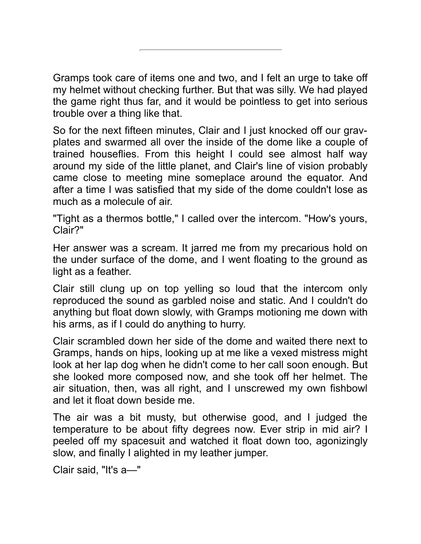Gramps took care of items one and two, and I felt an urge to take off my helmet without checking further. But that was silly. We had played the game right thus far, and it would be pointless to get into serious trouble over a thing like that.

So for the next fifteen minutes, Clair and I just knocked off our gravplates and swarmed all over the inside of the dome like a couple of trained houseflies. From this height I could see almost half way around my side of the little planet, and Clair's line of vision probably came close to meeting mine someplace around the equator. And after a time I was satisfied that my side of the dome couldn't lose as much as a molecule of air.

"Tight as a thermos bottle," I called over the intercom. "How's yours, Clair?"

Her answer was a scream. It jarred me from my precarious hold on the under surface of the dome, and I went floating to the ground as light as a feather.

Clair still clung up on top yelling so loud that the intercom only reproduced the sound as garbled noise and static. And I couldn't do anything but float down slowly, with Gramps motioning me down with his arms, as if I could do anything to hurry.

Clair scrambled down her side of the dome and waited there next to Gramps, hands on hips, looking up at me like a vexed mistress might look at her lap dog when he didn't come to her call soon enough. But she looked more composed now, and she took off her helmet. The air situation, then, was all right, and I unscrewed my own fishbowl and let it float down beside me.

The air was a bit musty, but otherwise good, and I judged the temperature to be about fifty degrees now. Ever strip in mid air? I peeled off my spacesuit and watched it float down too, agonizingly slow, and finally I alighted in my leather jumper.

Clair said, "It's a-"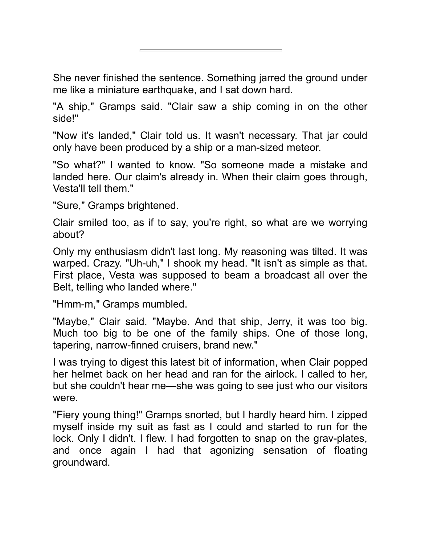She never finished the sentence. Something jarred the ground under me like a miniature earthquake, and I sat down hard.

"A ship," Gramps said. "Clair saw a ship coming in on the other side!"

"Now it's landed," Clair told us. It wasn't necessary. That jar could only have been produced by a ship or a man-sized meteor.

"So what?" I wanted to know. "So someone made a mistake and landed here. Our claim's already in. When their claim goes through, Vesta'll tell them."

"Sure," Gramps brightened.

Clair smiled too, as if to say, you're right, so what are we worrying about?

Only my enthusiasm didn't last long. My reasoning was tilted. It was warped. Crazy. "Uh-uh," I shook my head. "It isn't as simple as that. First place, Vesta was supposed to beam a broadcast all over the Belt, telling who landed where."

"Hmm-m," Gramps mumbled.

"Maybe," Clair said. "Maybe. And that ship, Jerry, it was too big. Much too big to be one of the family ships. One of those long, tapering, narrow-finned cruisers, brand new."

I was trying to digest this latest bit of information, when Clair popped her helmet back on her head and ran for the airlock. I called to her, but she couldn't hear me—she was going to see just who our visitors were.

"Fiery young thing!" Gramps snorted, but I hardly heard him. I zipped myself inside my suit as fast as I could and started to run for the lock. Only I didn't. I flew. I had forgotten to snap on the grav-plates, and once again I had that agonizing sensation of floating groundward.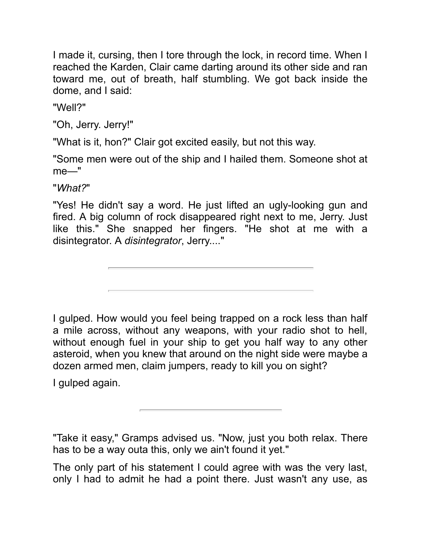I made it, cursing, then I tore through the lock, in record time. When I reached the Karden, Clair came darting around its other side and ran toward me, out of breath, half stumbling. We got back inside the dome, and I said:

"Well?"

"Oh, Jerry. Jerry!"

"What is it, hon?" Clair got excited easily, but not this way.

"Some men were out of the ship and I hailed them. Someone shot at me—"

"*What?*"

"Yes! He didn't say a word. He just lifted an ugly-looking gun and fired. A big column of rock disappeared right next to me, Jerry. Just like this." She snapped her fingers. "He shot at me with a disintegrator. A *disintegrator*, Jerry...."

I gulped. How would you feel being trapped on a rock less than half a mile across, without any weapons, with your radio shot to hell, without enough fuel in your ship to get you half way to any other asteroid, when you knew that around on the night side were maybe a dozen armed men, claim jumpers, ready to kill you on sight?

I gulped again.

"Take it easy," Gramps advised us. "Now, just you both relax. There has to be a way outa this, only we ain't found it yet."

The only part of his statement I could agree with was the very last, only I had to admit he had a point there. Just wasn't any use, as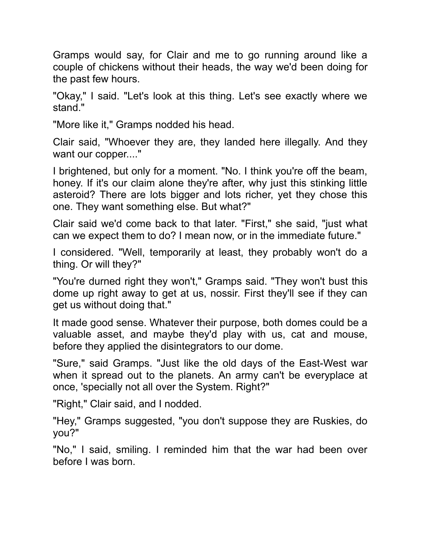Gramps would say, for Clair and me to go running around like a couple of chickens without their heads, the way we'd been doing for the past few hours.

"Okay," I said. "Let's look at this thing. Let's see exactly where we stand."

"More like it," Gramps nodded his head.

Clair said, "Whoever they are, they landed here illegally. And they want our copper...."

I brightened, but only for a moment. "No. I think you're off the beam, honey. If it's our claim alone they're after, why just this stinking little asteroid? There are lots bigger and lots richer, yet they chose this one. They want something else. But what?"

Clair said we'd come back to that later. "First," she said, "just what can we expect them to do? I mean now, or in the immediate future."

I consdered. "Well, temporarly at least, they probably won't do a thing. Or will they?"

"You're durned right they won't," Gramps said. "They won't bust this dome up right away to get at us, nossir. First they'll see if they can get us without doing that."

It made good sense. Whatever their purpose, both domes could be a valuable asset, and maybe they'd play wth us, cat and mouse, before they applied the disintegrators to our dome.

"Sure," said Gramps. "Just like the old days of the East-West war when it spread out to the planets. An army can't be everyplace at once, 'specially not all over the System. Right?"

"Right," Clair said, and I nodded.

"Hey," Gramps suggested, "you don't suppose they are Ruskes, do you?"

"No," I said, smiling. I reminded him that the war had been over before I was born.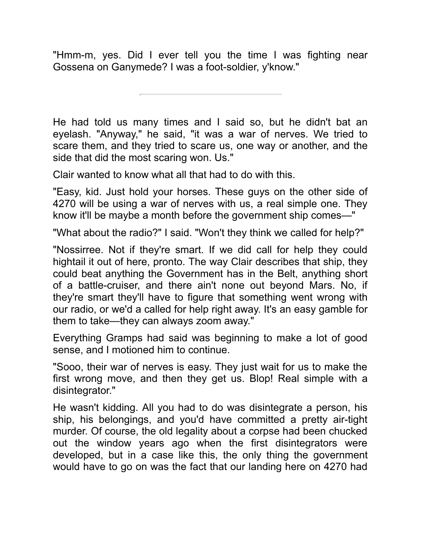"Hmm-m, yes. Did I ever tell you the time I was fighting near Gossena on Ganymede? I was a foot-soldier, y'know."

He had told us many times and I said so, but he didn't bat an eyelash. "Anyway," he said, "it was a war of nerves. We tried to scare them, and they tried to scare us, one way or another, and the side that did the most scaring won. Us."

Clair wanted to know what all that had to do with this.

"Easy, kid. Just hold your horses. These guys on the other side of 4270 will be using a war of nerves with us, a real simple one. They know it'll be maybe a month before the government ship comes—"

"What about the radio?" I said. "Won't they think we called for help?"

"Nossirree. Not if they're smart. If we did call for help they could hightail it out of here, pronto. The way Clair describes that ship, they could beat anything the Government has in the Belt, anything short of a battle-cruiser, and there ain't none out beyond Mars. No, if they're smart they'll have to figure that something went wrong with our radio, or we'd a called for help right away. It's an easy gamble for them to take—they can always zoom away."

Everything Gramps had said was beginning to make a lot of good sense, and I motioned him to continue.

"Sooo, their war of nerves is easy. They just wait for us to make the first wrong move, and then they get us. Blop! Real simple with a disintegrator."

He wasn't kidding. All you had to do was disintegrate a person, his ship, his belongings, and you'd have committed a pretty air-tight murder. Of course, the old legality about a corpse had been chucked out the window years ago when the first disintegrators were developed, but in a case like this, the only thing the government would have to go on was the fact that our landing here on 4270 had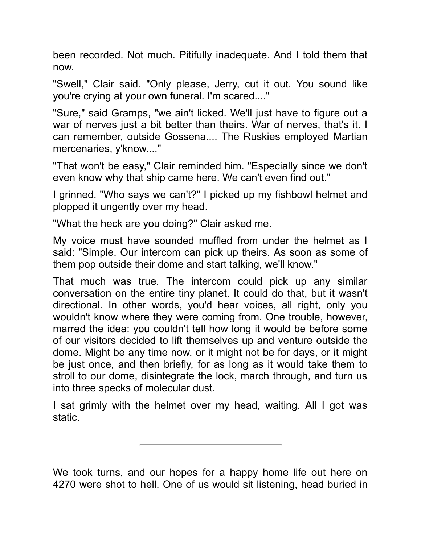been recorded. Not much. Pitifully inadequate. And I told them that now.

"Swell," Clair said. "Only please, Jerry, cut it out. You sound like you're crying at your own funeral. I'm scared...."

"Sure," said Gramps, "we ain't licked. We'll just have to figure out a war of nerves just a bit better than theirs. War of nerves, that's it. I can remember, outside Gossena.... The Ruskies employed Martian mercenaries, y'know...."

"That won't be easy," Clair reminded him. "Especially since we don't even know why that ship came here. We can't even find out."

I grinned. "Who says we can't?" I picked up my fishbowl helmet and plopped it ungently over my head.

"What the heck are you doing?" Clair asked me.

My voice must have sounded muffled from under the helmet as I said: "Simple. Our intercom can pick up theirs. As soon as some of them pop outside their dome and start talking, we'll know."

That much was true. The intercom could pick up any similar conversation on the entire tiny planet. It could do that, but it wasn't directional. In other words, you'd hear voices, all right, only you wouldn't know where they were coming from. One trouble, however, marred the idea: you couldn't tell how long it would be before some of our visitors decided to lift themselves up and venture outside the dome. Might be any time now, or it might not be for days, or it might be just once, and then briefly, for as long as it would take them to stroll to our dome, disintegrate the lock, march through, and turn us nto three specks of molecular dust.

I sat grimly with the helmet over my head, waiting. All I got was static.

We took turns, and our hopes for a happy home life out here on 4270 were shot to hell. One of us would sit listening, head buried in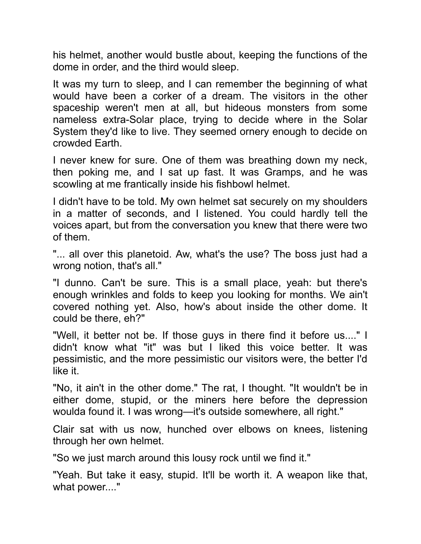his helmet, another would bustle about, keeping the functions of the dome in order, and the third would sleep.

It was my turn to sleep, and I can remember the beginning of what would have been a corker of a dream. The visitors in the other spaceship weren't men at all, but hideous monsters from some nameless extra-Solar place, trying to decide where in the Solar System they'd like to live. They seemed ornery enough to decide on crowded Earth.

I never knew for sure. One of them was breathing down my neck, then poking me, and I sat up fast. It was Gramps, and he was scowling at me frantically inside his fishbowl helmet.

I didn't have to be told. My own helmet sat securely on my shoulders in a matter of seconds, and I listened. You could hardly tell the voices apart, but from the conversation you knew that there were two of them.

"... all over this planetoid. Aw, what's the use? The boss just had a wrong notion, that's all."

"I dunno. Can't be sure. This is a small place, yeah: but there's enough wrinkles and folds to keep you looking for months. We ain't covered nothing yet. Also, how's about inside the other dome. It could be there, eh?"

"Well, it better not be. If those guys in there find it before us...." I didn't know what "it" was but I liked this voice better. It was pessimistic, and the more pessimistic our visitors were, the better I'd like it.

"No, it ain't in the other dome." The rat, I thought. "It wouldn't be in either dome, stupid, or the miners here before the depression woulda found it. I was wrong—it's outside somewhere, all right."

Clair sat with us now, hunched over elbows on knees, listening through her own helmet.

"So we just march around this lousy rock until we find it."

"Yeah. But take it easy, stupid. It'll be worth it. A weapon like that, what power...."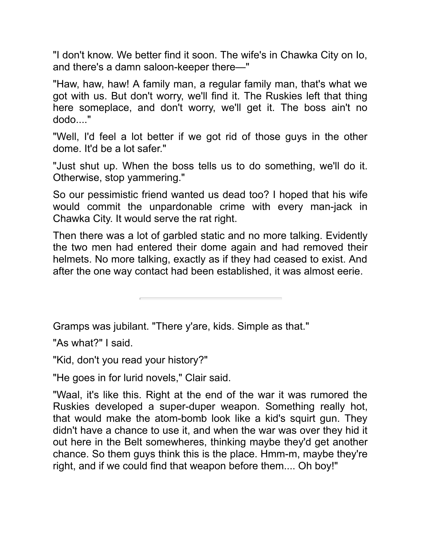"I don't know. We better find it soon. The wife's in Chawka City on Io, and there's a damn saloon-keeper there—"

"Haw, haw, haw! A famly man, a regular famly man, that's what we got with us. But don't worry, we'll find it. The Ruskies left that thing here someplace, and don't worry, we'll get it. The boss ain't no dodo..."

"Well, I'd feel a lot better if we got rid of those guys in the other dome. It'd be a lot safer."

"Just shut up. When the boss tells us to do something, we'll do it. Otherwise, stop yammering."

So our pessimistic friend wanted us dead too? I hoped that his wife would commit the unpardonable crime with every man-jack in Chawka City. It would serve the rat right.

Then there was a lot of garbled static and no more talking. Evidently the two men had entered their dome again and had removed their helmets. No more talking, exactly as if they had ceased to exist. And after the one way contact had been established, it was almost eerie.

Gramps was jubilant. "There y'are, kids. Simple as that."

"As what?" I said.

"Kid, don't you read your history?"

"He goes in for lurid novels," Clair said.

"Waal, it's like this. Right at the end of the war it was rumored the Ruskies developed a super-duper weapon. Something really hot, that would make the atom-bomb look like a kid's squirt gun. They didn't have a chance to use it, and when the war was over they hid it out here in the Belt somewheres, thinking maybe they'd get another chance. So them guys think this is the place. Hmm-m, maybe they're right, and if we could find that weapon before them.... Oh boy!"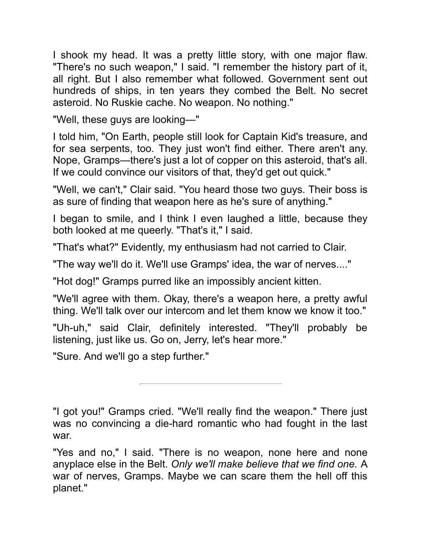I shook my head. It was a pretty little story, with one major flaw. "There's no such weapon," I said. "I remember the history part of it, all right. But I also remember what followed. Government sent out hundreds of ships, in ten years they combed the Belt. No secret asteroid. No Ruskie cache. No weapon. No nothing."

"Well, these guys are looking-"

I told him, "On Earth, people still look for Captain Kid's treasure, and for sea serpents, too. They just won't find either. There aren't any. Nope, Gramps—there's just a lot of copper on this asteroid, that's all. If we could convince our visitors of that, they'd get out quick."

"Well, we can't," Clair said. "You heard those two guys. Their boss is as sure of finding that weapon here as he's sure of anything."

I began to smile, and I think I even laughed a little, because they both looked at me queerly. "That's it," I said.

"That's what?" Evidently, my enthusiasm had not carried to Clair.

"The way we'll do it. We'll use Gramps' idea, the war of nerves...."

"Hot dog!" Gramps purred like an impossibly ancient kitten.

"We'll agree wth them. Okay, there's a weapon here, a pretty awful thing. We'll talk over our intercom and let them know we know it too."

"Uh-uh," said Clair, definitely interested. "They'll probably be listening, just like us. Go on, Jerry, let's hear more."

"Sure. And we'll go a step further."

"I got you!" Gramps cried. "We'll really find the weapon." There just was no convincing a die-hard romantic who had fought in the last war.

"Yes and no," I said. "There is no weapon, none here and none anyplace else in the Belt. Only we'll make believe that we find one. A war of nerves, Gramps. Maybe we can scare them the hell off this planet."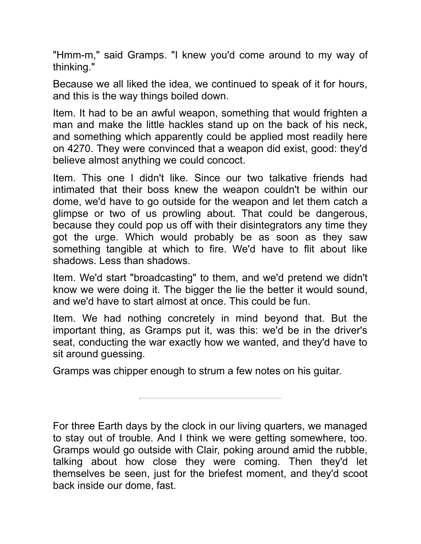"Hmm-m," said Gramps. "I knew you'd come around to my way of thinking."

Because we all liked the idea, we continued to speak of it for hours, and this is the way things boiled down.

Item. It had to be an awful weapon, something that would frighten a man and make the little hackles stand up on the back of his neck, and something which apparently could be applied most readily here on 4270. They were convinced that a weapon did exist, good: they'd believe almost anything we could concoct.

Item. This one I didn't like. Since our two talkative friends had intimated that their boss knew the weapon couldn't be within our dome, we'd have to go outside for the weapon and let them catch a glimpse or two of us prowling about. That could be dangerous, because they could pop us off with their disintegrators any time they got the urge. Which would probably be as soon as they saw something tangible at which to fire. We'd have to flit about like shadows. Less than shadows.

Item. We'd start "broadcasting" to them, and we'd pretend we didn't know we were doing it. The bigger the lie the better it would sound, and we'd have to start almost at once. This could be fun.

Item. We had nothing concretely in mind beyond that. But the important thing, as Gramps put it, was this: we'd be in the driver's seat, conducting the war exactly how we wanted, and they'd have to sit around guessing.

Gramps was chipper enough to strum a few notes on his guitar.

For three Earth days by the clock in our living quarters, we managed to stay out of trouble. And I think we were getting somewhere, too. Gramps would go outside with Clair, poking around amid the rubble, talking about how close they were coming. Then they'd let themselves be seen, just for the briefest moment, and they'd scoot back inside our dome, fast.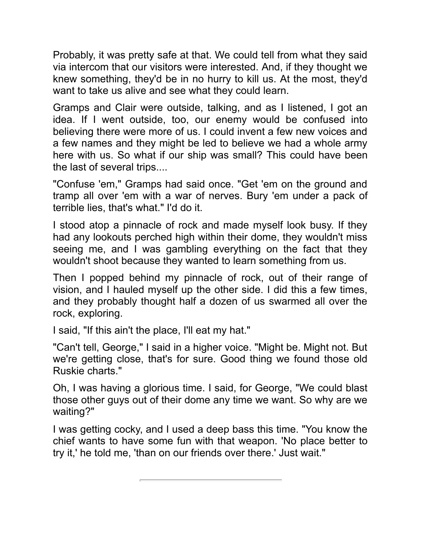Probably, it was pretty safe at that. We could tell from what they said via intercom that our visitors were interested. And, if they thought we knew something, they'd be in no hurry to kill us. At the most, they'd want to take us alive and see what they could learn.

Gramps and Clair were outside, talking, and as I listened, I got an idea. If I went outside, too, our enemy would be confused into believing there were more of us. I could invent a few new voices and a few names and they might be led to believe we had a whole army here with us. So what if our ship was small? This could have been the last of several trips....

"Confuse 'em," Gramps had said once. "Get 'em on the ground and tramp all over 'em wth a war of nerves. Bury 'em under a pack of terrible lies, that's what." I'd do it.

I stood atop a pinnacle of rock and made myself look busy. If they had any lookouts perched high within their dome, they wouldn't miss seeing me, and I was gambling everything on the fact that they wouldn't shoot because they wanted to learn something from us.

Then I popped behind my pinnacle of rock, out of their range of vision, and I hauled myself up the other side. I did this a few times, and they probably thought half a dozen of us swarmed all over the rock, exploring.

I said, "If this ain't the place, I'll eat my hat."

"Can't tell, George," I said in a higher voice. "Might be. Might not. But we're getting close, that's for sure. Good thing we found those old Ruskie charts."

Oh, I was having a glorious time. I said, for George, "We could blast those other guys out of their dome any time we want. So why are we waiting?"

I was getting cocky, and I used a deep bass this time. "You know the chief wants to have some fun with that weapon. 'No place better to try it,' he told me, 'than on our friends over there.' Just wait."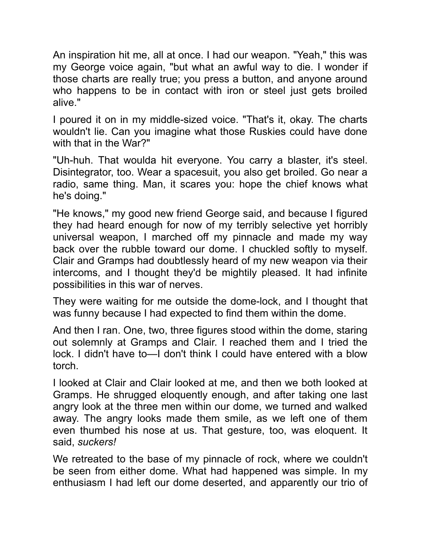An inspiration hit me, all at once. I had our weapon. "Yeah," this was my George voice again, "but what an awful way to die. I wonder if those charts are really true; you press a button, and anyone around who happens to be in contact with iron or steel just gets broiled alive."

I poured it on in my middle-sized voice. "That's it, okay. The charts wouldn't lie. Can you imagine what those Ruskies could have done with that in the War?"

"Uh-huh. That woulda hit everyone. You carry a blaster, it's steel. Disintegrator, too. Wear a spacesuit, you also get broiled. Go near a radio, same thing. Man, it scares you: hope the chief knows what he's doing."

"He knows," my good new friend George said, and because I figured they had heard enough for now of my terribly selective yet horribly universal weapon, I marched off my pinnacle and made my way back over the rubble toward our dome. I chuckled softly to myself. Clair and Gramps had doubtlessly heard of my new weapon via their intercoms, and I thought they'd be mightily pleased. It had infinite possibilities in this war of nerves.

They were waiting for me outside the dome-lock, and I thought that was funny because I had expected to find them within the dome.

And then I ran. One, two, three figures stood within the dome, staring out solemnly at Gramps and Clair. I reached them and I tried the lock. I didn't have to—I don't think I could have entered with a blow torch.

I looked at Clair and Clair looked at me, and then we both looked at Gramps. He shrugged eloquently enough, and after taking one last angry look at the three men within our dome, we turned and walked away. The angry looks made them smle, as we left one of them even thumbed his nose at us. That gesture, too, was eloquent. It said, *suckers!* 

We retreated to the base of my pinnacle of rock, where we couldn't be seen from either dome. What had happened was simple. In my enthusiasm I had left our dome deserted, and apparently our trio of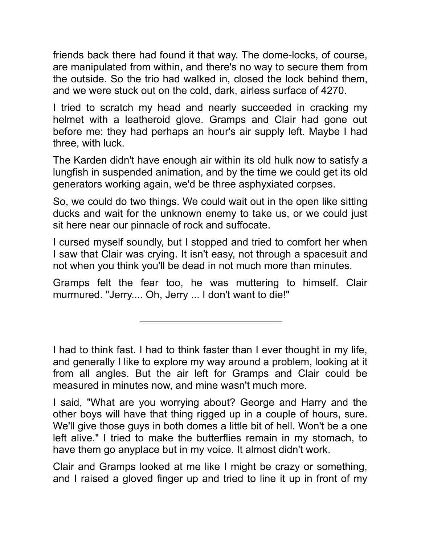friends back there had found it that way. The dome-locks, of course, are manipulated from within, and there's no way to secure them from the outside. So the trio had walked in, closed the lock behind them, and we were stuck out on the cold, dark, airless surface of 4270.

I tried to scratch my head and nearly succeeded in cracking my helmet with a leatheroid glove. Gramps and Clair had gone out before me: they had perhaps an hour's air supply left. Maybe I had three, with luck.

The Karden didn't have enough air within its old hulk now to satisfy a lungfish in suspended animation, and by the time we could get its old generators working again, we'd be three asphyxiated corpses.

So, we could do two things. We could wait out in the open like sitting ducks and wait for the unknown enemy to take us, or we could just sit here near our pinnacle of rock and suffocate.

I cursed myself soundly, but I stopped and tried to comfort her when I saw that Clair was crying. It isn't easy, not through a spacesuit and not when you think you'll be dead in not much more than minutes.

Gramps felt the fear too, he was muttering to himself. Clair murmured. "Jerry.... Oh, Jerry ... I don't want to die!"

I had to think fast. I had to think faster than I ever thought in my life, and generally I like to explore my way around a problem, looking at it from all angles. But the air left for Gramps and Clair could be measured in minutes now, and mine wasn't much more.

I said, "What are you worrying about? George and Harry and the other boys will have that thing rigged up in a couple of hours, sure. We'll give those guys in both domes a little bit of hell. Won't be a one left alive." I tried to make the butterflies remain in my stomach, to have them go anyplace but in my voice. It almost didn't work.

Clair and Gramps looked at me like I might be crazy or something, and I raised a gloved finger up and tried to line it up in front of my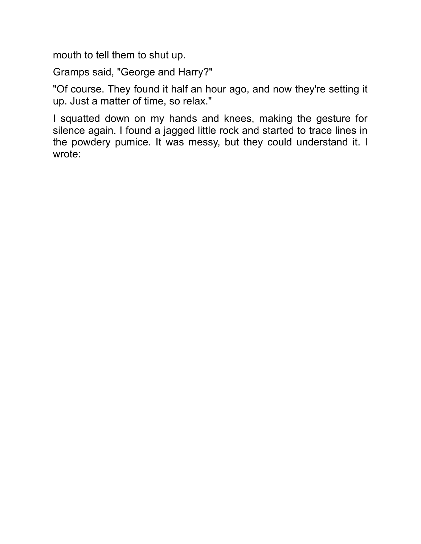mouth to tell them to shut up.

Gramps sad, "George and Harry?"

"Of course. They found it half an hour ago, and now they're setting it up. Just a matter of time, so relax."

I squatted down on my hands and knees, making the gesture for silence again. I found a jagged little rock and started to trace lines in the powdery pumice. It was messy, but they could understand it. I wrote: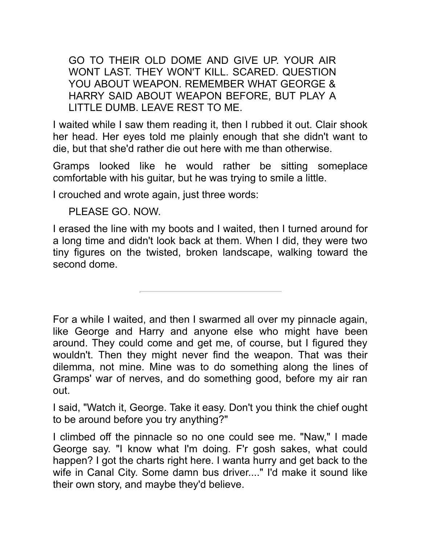GO TO THEIR OLD DOME AND GIVE UP. YOUR AIR WONT LAST. THEY WON'T KILL. SCARED. QUESTION YOU ABOUT WEAPON. REMEMBER WHAT GEORGE & HARRY SAID ABOUT WEAPON BEFORE, BUT PLAY A LITTLE DUMB. LEAVE REST TO ME.

I waited while I saw them reading it, then I rubbed it out. Clair shook her head. Her eyes told me plainly enough that she didn't want to die, but that she'd rather die out here with me than otherwise.

Gramps looked like he would rather be sitting someplace comfortable with his quitar, but he was trying to smile a little.

I crouched and wrote again, just three words:

PLEASE GO. NOW.

I erased the line with my boots and I waited, then I turned around for a long time and didn't look back at them. When I did, they were two tiny figures on the twisted, broken landscape, walking toward the second dome.

For a while I waited, and then I swarmed all over my pinnacle again, like George and Harry and anyone else who might have been around. They could come and get me, of course, but I figured they wouldn't. Then they might never find the weapon. That was their dilemma, not mine. Mine was to do something along the lines of Gramps' war of nerves, and do something good, before my air ran out.

I said, "Watch it, George. Take it easy. Don't you think the chief ought to be around before you try anything?"

I climbed off the pinnacle so no one could see me. "Naw," I made George say. "I know what I'm dong. F'r gosh sakes, what could happen? I got the charts right here. I wanta hurry and get back to the wife in Canal City. Some damn bus driver...." I'd make it sound like their own story, and maybe they'd believe.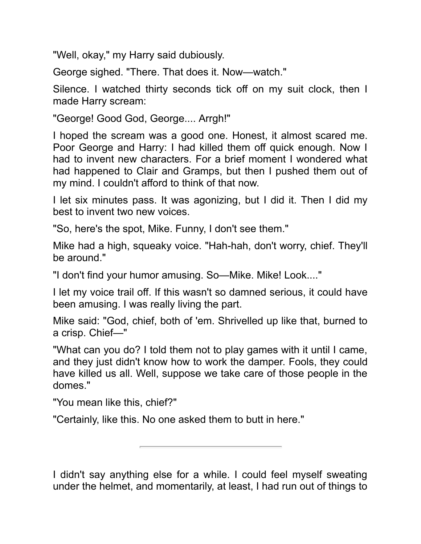"Well, okay," my Harry said dubiously.

George sighed. "There. That does it. Now—watch."

Silence. I watched thirty seconds tick off on my suit clock, then I made Harry scream:

"George! Good God, George.... Arrgh!"

I hoped the scream was a good one. Honest, it almost scared me. Poor George and Harry: I had killed them off quick enough. Now I had to invent new characters. For a brief moment I wondered what had happened to Clair and Gramps, but then I pushed them out of my mind. I couldn't afford to think of that now.

I let six minutes pass. It was agonizing, but I did it. Then I did my best to invent two new voices.

"So, here's the spot, Mike. Funny, I don't see them."

Mike had a high, squeaky voice. "Hah-hah, don't worry, chief. They'll be around."

"I don't find your humor amusing. So—Mike. Mike! Look...."

I let my voice trail off. If this wasn't so damned serious, it could have been amusing. I was really living the part.

Mike said: "God, chief, both of 'em. Shrivelled up like that, burned to a crisp. Chief-"

"What can you do? I told them not to play games with it until I came, and they just didn't know how to work the damper. Fools, they could have killed us all. Well, suppose we take care of those people in the domes."

"You mean like this, chief?"

"Certainly, like this. No one asked them to butt in here."

I didn't say anything else for a while. I could feel myself sweating under the helmet, and momentarily, at least, I had run out of things to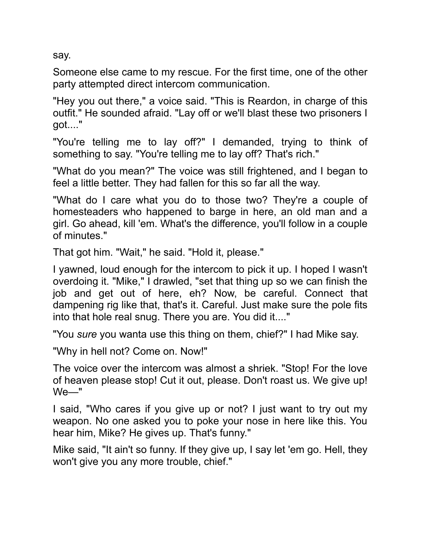say.

Someone else came to my rescue. For the first time, one of the other party attempted direct intercom communication.

"Hey you out there," a voice said. "This is Reardon, in charge of this outfit." He sounded afraid. "Lay off or we'll blast these two prisoners I got...."

"You're telling me to lay off?" I demanded, trying to think of something to say. "You're telling me to lay off? That's rich."

"What do you mean?" The voice was still frightened, and I began to feel a little better. They had fallen for this so far all the way.

"What do I care what you do to those two? They're a couple of homesteaders who happened to barge in here, an old man and a girl. Go ahead, kill 'em. What's the difference, you'll follow in a couple of minutes."

That got him. "Wait," he said. "Hold it, please."

I yawned, loud enough for the intercom to pick it up. I hoped I wasn't overdoing it. "Mike," I drawled, "set that thing up so we can finish the job and get out of here, eh? Now, be careful. Connect that dampening rig like that, that's it. Careful. Just make sure the pole fits into that hole real snug. There you are. You did it...."

"You *sure* you wanta use this thing on them, chief?" I had Mike say.

"Why in hell not? Come on. Now!"

The voice over the intercom was almost a shriek. "Stop! For the love of heaven please stop! Cut it out, please. Don't roast us. We give up! We—"

I said, "Who cares if you give up or not? I just want to try out my weapon. No one asked you to poke your nose in here like this. You hear him, Mike? He gives up. That's funny."

Mike said, "It ain't so funny. If they give up, I say let 'em go. Hell, they won't give you any more trouble, chief."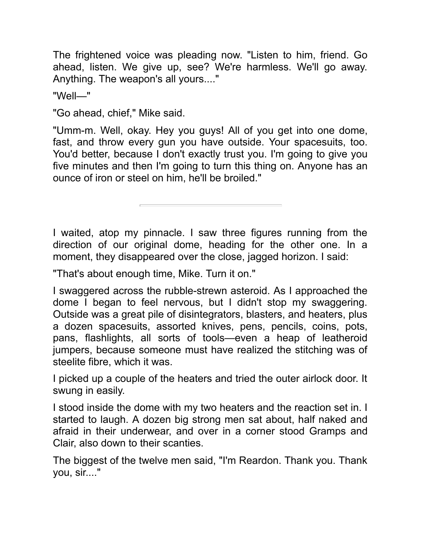The frightened voice was pleading now. "Listen to him, friend. Go ahead, listen. We give up, see? We're harmless. We'll go away. Anything. The weapon's all yours...."

"Well—"

"Go ahead, chief," Mike said.

"Umm-m. Well, okay. Hey you guys! All of you get into one dome, fast, and throw every gun you have outside. Your spacesuits, too. You'd better, because I don't exactly trust you. I'm going to give you five minutes and then I'm going to turn this thing on. Anyone has an ounce of iron or steel on him, he'll be broiled."

I waited, atop my pinnacle. I saw three figures running from the direction of our original dome, heading for the other one. In a moment, they disappeared over the close, jagged horizon. I said:

"That's about enough time, Mike. Turn it on."

I swaggered across the rubble-strewn asteroid. As I approached the dome I began to feel nervous, but I didn't stop my swaggering. Outside was a great pile of disintegrators, blasters, and heaters, plus a dozen spacesuits, assorted knives, pens, pencils, coins, pots, pans, flashlights, all sorts of tools—even a heap of leatheroid jumpers, because someone must have realized the stitching was of steelite fibre, which it was.

I picked up a couple of the heaters and tried the outer airlock door. It swung in easily.

I stood inside the dome with my two heaters and the reaction set in. I started to laugh. A dozen big strong men sat about, half naked and afraid in their underwear, and over in a corner stood Gramps and Clair, also down to their scanties.

The biggest of the twelve men said, "I'm Reardon. Thank you. Thank you, sir...."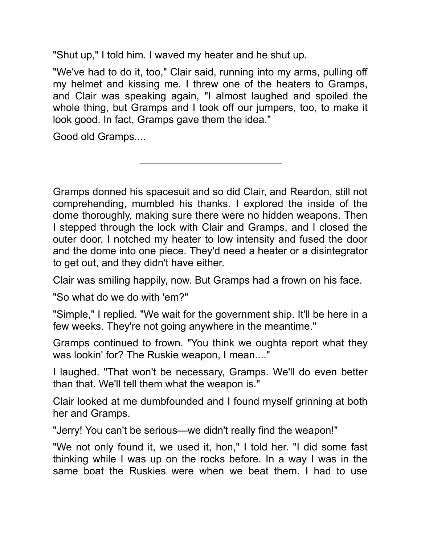"Shut up," I told him. I waved my heater and he shut up.

"We've had to do it, too," Clair said, running into my arms, pulling off my helmet and kissing me. I threw one of the heaters to Gramps, and Clair was speaking again, "I almost laughed and spoiled the whole thing, but Gramps and I took off our jumpers, too, to make it look good. In fact, Gramps gave them the idea."

Good old Gramps....

Gramps donned his spacesuit and so did Clair, and Reardon, still not comprehending, mumbled his thanks. I explored the inside of the dome thoroughly, making sure there were no hidden weapons. Then I stepped through the lock with Clair and Gramps, and I closed the outer door. I notched my heater to low intensity and fused the door and the dome into one piece. They'd need a heater or a disintegrator to get out, and they didn't have either.

Clair was smiling happily, now. But Gramps had a frown on his face.

"So what do we do with 'em?"

"Simple," I replied. "We wait for the government ship. It'll be here in a few weeks. They're not going anywhere in the meantime."

Gramps continued to frown. "You think we oughta report what they was lookin' for? The Ruskie weapon, I mean...."

I laughed. "That won't be necessary, Gramps. We'll do even better than that. We'll tell them what the weapon is."

Clair looked at me dumbfounded and I found myself grinning at both her and Gramps.

"Jerry! You can't be serious—we didn't really find the weapon!"

"We not only found it, we used it, hon," I told her. "I did some fast thinking while I was up on the rocks before. In a way I was in the same boat the Ruskies were when we beat them. I had to use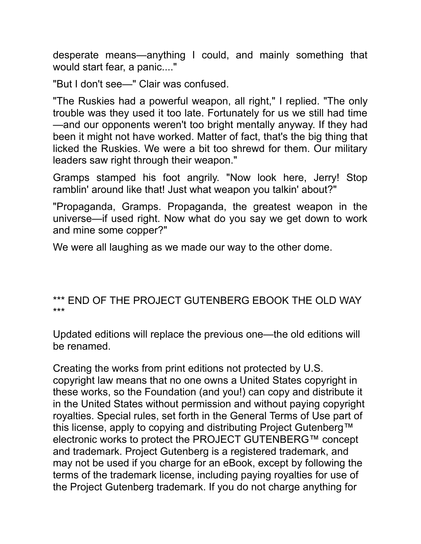desperate means—anything I could, and mainly something that would start fear, a panic...."

"But I don't see—" Clair was confused.

"The Ruskies had a powerful weapon, all right," I replied. "The only trouble was they used it too late. Fortunately for us we still had time —and our opponents weren't too bright mentally anyway. If they had been it might not have worked. Matter of fact, that's the big thing that licked the Ruskies. We were a bit too shrewd for them. Our military leaders saw right through their weapon."

Gramps stamped his foot angrily. "Now look here, Jerry! Stop ramblin' around like that! Just what weapon you talkin' about?"

"Propaganda, Gramps. Propaganda, the greatest weapon in the universe—if used right. Now what do you say we get down to work and mine some copper?"

We were all laughing as we made our way to the other dome.

#### \*\*\* END OF THE PROJECT GUTENBERG EBOOK THE OLD WAY \*\*\*

Updated editions will replace the previous one—the old editions will be renamed.

Creating the works from print editions not protected by U.S. copyright law means that no one owns a United States copyright in these works, so the Foundation (and you!) can copy and distribute it in the United States without permission and without paying copyright royalties. Special rules, set forth in the General Terms of Use part of this license, apply to copying and distributing Project Gutenberg™ electronic works to protect the PROJECT GUTENBERG™ concept and trademark. Project Gutenberg is a registered trademark, and may not be used if you charge for an eBook, except by following the terms of the trademark license, including paying royalties for use of the Project Gutenberg trademark. If you do not charge anything for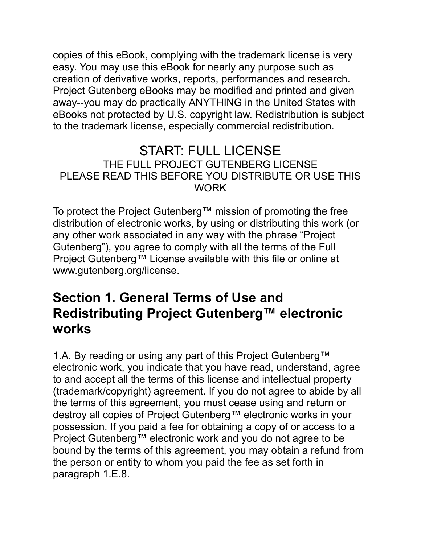copies of this eBook, complying with the trademark license is very easy. You may use this eBook for nearly any purpose such as creation of derivative works, reports, performances and research. Project Gutenberg eBooks may be modified and printed and given away--you may do practically ANYTHING in the United States with eBooks not protected by U.S. copyright law. Redistribution is subject to the trademark license, especially commercial redistribution.

#### START: FULL LICENSE THE FULL PROJECT GUTENBERG LICENSE PLEASE READ THIS BEFORE YOU DISTRIBUTE OR USE THIS WORK

To protect the Project Gutenberg™ mission of promoting the free distribution of electronic works, by using or distributing this work (or any other work associated in any way with the phrase "Project" Gutenberg"), you agree to comply wth all the terms of the Full Project Gutenberg™ License available with this file or online at www.gutenberg.org/license.

#### **Secton 1. General Terms of Use and Redistributing Project Gutenberg™ electronic works**

1.A. By reading or using any part of this Project Gutenberg™ electronic work, you indicate that you have read, understand, agree to and accept all the terms of this license and intellectual property (trademark/copyrght) agreement. If you do not agree to abde by all the terms of this agreement, you must cease using and return or destroy all copies of Project Gutenberg™ electronic works in your possession. If you paid a fee for obtaining a copy of or access to a Project Gutenberg™ electronic work and you do not agree to be bound by the terms of this agreement, you may obtain a refund from the person or entity to whom you paid the fee as set forth in paragraph 1.E.8.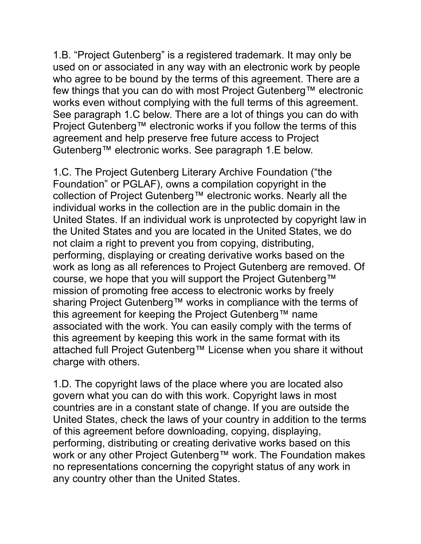1.B. "Project Gutenberg" is a registered trademark. It may only be used on or associated in any way with an electronic work by people who agree to be bound by the terms of this agreement. There are a few things that you can do with most Project Gutenberg™ electronic works even without complying with the full terms of this agreement. See paragraph 1.C below. There are a lot of things you can do with Project Gutenberg™ electronic works if you follow the terms of this agreement and help preserve free future access to Project Gutenberg™ electronic works. See paragraph 1.E below.

1.C. The Project Gutenberg Literary Archive Foundation ("the Foundation" or PGLAF), owns a compilation copyright in the collection of Project Gutenberg™ electronic works. Nearly all the individual works in the collection are in the public domain in the United States. If an individual work is unprotected by copyright law in the United States and you are located in the United States, we do not claim a right to prevent you from copying, distributing, performing, displaying or creating derivative works based on the work as long as all references to Project Gutenberg are removed. Of course, we hope that you will support the Project Gutenberg™ mission of promoting free access to electronic works by freely sharing Project Gutenberg™ works in compliance with the terms of this agreement for keeping the Project Gutenberg™ name associated with the work. You can easily comply with the terms of this agreement by keeping this work in the same format with its attached full Project Gutenberg™ License when you share it without charge with others.

1.D. The copyright laws of the place where you are located also govern what you can do with this work. Copyright laws in most countries are in a constant state of change. If you are outside the United States, check the laws of your country in addition to the terms of this agreement before downloading, copying, displaying, performing, distributing or creating derivative works based on this work or any other Project Gutenberg™ work. The Foundation makes no representations concerning the copyright status of any work in any country other than the United States.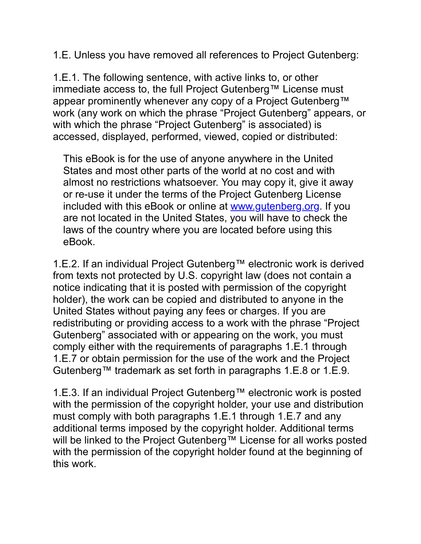1.E. Unless you have removed all references to Project Gutenberg:

1.E.1. The following sentence, with active links to, or other immediate access to, the full Project Gutenberg™ License must appear prominently whenever any copy of a Project Gutenberg™ work (any work on which the phrase "Project Gutenberg" appears, or with which the phrase "Project Gutenberg" is associated) is accessed, displayed, performed, viewed, copied or distributed:

This eBook is for the use of anyone anywhere in the United States and most other parts of the world at no cost and with almost no restrictions whatsoever. You may copy it, give it away or re-use it under the terms of the Project Gutenberg License included with this eBook or online at [www.gutenberg.org.](https://www.gutenberg.org/) If you are not located in the United States, you will have to check the laws of the country where you are located before using this eBook.

1.E.2. If an individual Project Gutenberg™ electronic work is derived from texts not protected by U.S. copyright law (does not contain a notice indicating that it is posted with permission of the copyright holder), the work can be copied and distributed to anyone in the United States without paying any fees or charges. If you are redistributing or providing access to a work with the phrase "Project" Gutenberg" associated with or appearing on the work, you must comply either with the requirements of paragraphs 1.E.1 through 1.E.7 or obtain permission for the use of the work and the Project Gutenberg™ trademark as set forth in paragraphs 1.E.8 or 1.E.9.

1.E.3. If an individual Project Gutenberg™ electronic work is posted with the permission of the copyright holder, your use and distribution must comply wth both paragraphs 1.E.1 through 1.E.7 and any additional terms imposed by the copyright holder. Additional terms will be linked to the Project Gutenberg™ License for all works posted with the permission of the copyright holder found at the beginning of this work.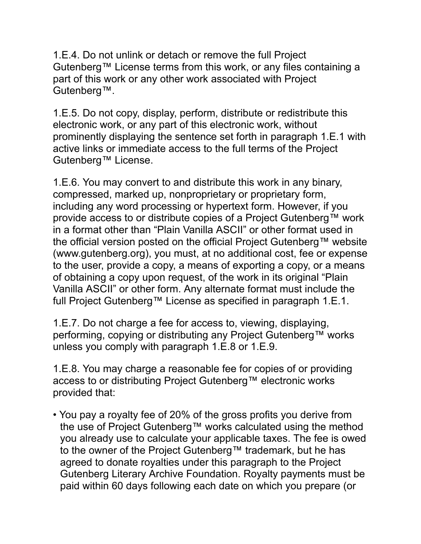1.E.4. Do not unlnk or detach or remove the full Project Gutenberg™ License terms from this work, or any files containing a part of this work or any other work associated with Project Gutenberg™.

1.E.5. Do not copy, display, perform, distribute or redistribute this electronic work, or any part of this electronic work, without prominently displaying the sentence set forth in paragraph 1.E.1 with active links or immediate access to the full terms of the Project Gutenberg™ License.

1.E.6. You may convert to and distribute this work in any binary, compressed, marked up, nonproprietary or proprietary form, including any word processing or hypertext form. However, if you provide access to or distribute copies of a Project Gutenberg™ work in a format other than "Plain Vanilla ASCII" or other format used in the official version posted on the official Project Gutenberg™ website (www.gutenberg.org), you must, at no additional cost, fee or expense to the user, provide a copy, a means of exporting a copy, or a means of obtaining a copy upon request, of the work in its original "Plain" Vanilla ASCII" or other form. Any alternate format must include the full Project Gutenberg™ License as specified in paragraph 1.E.1.

1.E.7. Do not charge a fee for access to, viewing, displaying, performing, copying or distributing any Project Gutenberg™ works unless you comply wth paragraph 1.E.8 or 1.E.9.

1.E.8. You may charge a reasonable fee for copies of or providing access to or distributing Project Gutenberg™ electronic works provided that:

• You pay a royalty fee of 20% of the gross profits you derive from the use of Project Gutenberg™ works calculated using the method you already use to calculate your applicable taxes. The fee is owed to the owner of the Project Gutenberg™ trademark, but he has agreed to donate royalties under this paragraph to the Project Gutenberg Literary Archive Foundation. Royalty payments must be paid within 60 days following each date on which you prepare (or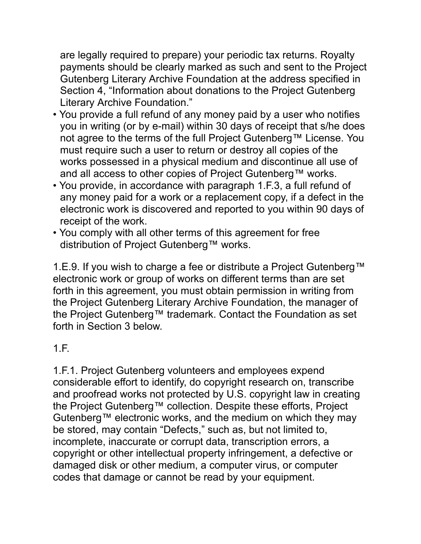are legally required to prepare) your periodic tax returns. Royalty payments should be clearly marked as such and sent to the Project Gutenberg Literary Archive Foundation at the address specified in Section 4, "Information about donations to the Project Gutenberg Literary Archive Foundation."

- You provide a full refund of any money paid by a user who notifies you in writing (or by e-mail) within 30 days of receipt that s/he does not agree to the terms of the full Project Gutenberg™ License. You must require such a user to return or destroy all copies of the works possessed in a physical medium and discontinue all use of and all access to other copies of Project Gutenberg™ works.
- You provide, in accordance with paragraph 1.F.3, a full refund of any money paid for a work or a replacement copy, if a defect in the electronic work is discovered and reported to you within 90 days of receipt of the work.
- You comply with all other terms of this agreement for free distribution of Project Gutenberg™ works.

1.E.9. If you wish to charge a fee or distribute a Project Gutenberg™ electronic work or group of works on different terms than are set forth in this agreement, you must obtain permission in writing from the Project Gutenberg Literary Archive Foundation, the manager of the Project Gutenberg™ trademark. Contact the Foundation as set forth in Section 3 below.

#### 1.F.

1.F.1. Project Gutenberg volunteers and employees expend considerable effort to identify, do copyright research on, transcribe and proofread works not protected by U.S. copyright law in creating the Project Gutenberg™ collection. Despite these efforts, Project Gutenberg™ electronic works, and the medium on which they may be stored, may contain "Defects," such as, but not limited to, incomplete, inaccurate or corrupt data, transcription errors, a copyright or other intellectual property infringement, a defective or damaged disk or other medium, a computer virus, or computer codes that damage or cannot be read by your equpment.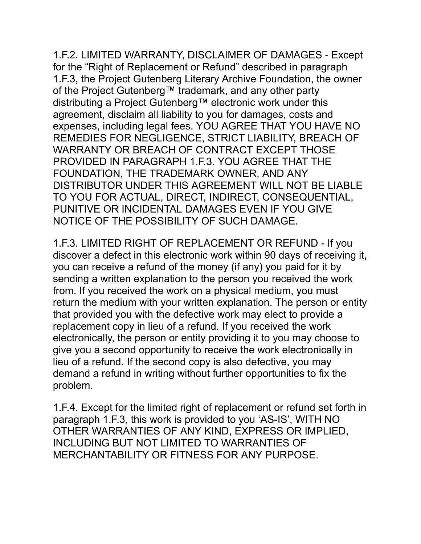1.F.2. LIMITED WARRANTY, DISCLAIMER OF DAMAGES - Except for the "Right of Replacement or Refund" described in paragraph 1.F.3, the Project Gutenberg Literary Archive Foundation, the owner of the Project Gutenberg™ trademark, and any other party distributing a Project Gutenberg™ electronic work under this agreement, disclaim all liability to you for damages, costs and expenses, including legal fees. YOU AGREE THAT YOU HAVE NO REMEDIES FOR NEGLIGENCE, STRICT LIABILITY, BREACH OF WARRANTY OR BREACH OF CONTRACT EXCEPT THOSE PROVIDED IN PARAGRAPH 1.F.3. YOU AGREE THAT THE FOUNDATION, THE TRADEMARK OWNER, AND ANY DISTRIBUTOR UNDER THIS AGREEMENT WILL NOT BE LIABLE TO YOU FOR ACTUAL, DIRECT, INDIRECT, CONSEQUENTIAL, PUNITIVE OR INCIDENTAL DAMAGES EVEN IF YOU GIVE NOTICE OF THE POSSIBILITY OF SUCH DAMAGE.

1.F.3. LIMITED RIGHT OF REPLACEMENT OR REFUND - If you discover a defect in this electronic work within 90 days of receiving it, you can receive a refund of the money (if any) you paid for it by sending a written explanation to the person you received the work from. If you received the work on a physical medium, you must return the medium with your written explanation. The person or entity that provided you with the defective work may elect to provide a replacement copy in lieu of a refund. If you received the work electronically, the person or entity providing it to you may choose to give you a second opportunity to receive the work electronically in lieu of a refund. If the second copy is also defective, you may demand a refund in writing without further opportunities to fix the problem.

1.F.4. Except for the limited right of replacement or refund set forth in paragraph 1.F.3, this work is provided to you 'AS-IS', WITH NO OTHER WARRANTIES OF ANY KIND, EXPRESS OR IMPLIED, INCLUDING BUT NOT LIMITED TO WARRANTIES OF MERCHANTABILITY OR FITNESS FOR ANY PURPOSE.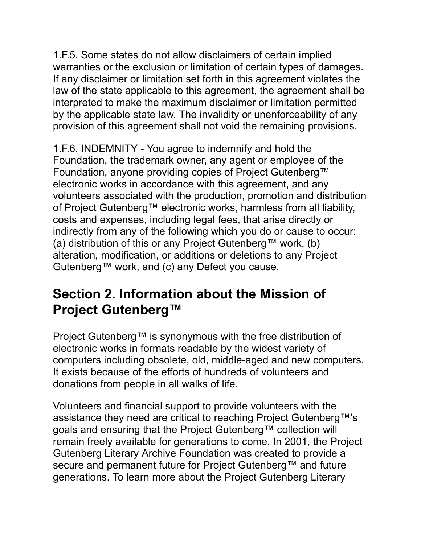1.F.5. Some states do not allow disclaimers of certain implied warranties or the exclusion or limitation of certain types of damages. If any disclaimer or limitation set forth in this agreement violates the law of the state applicable to this agreement, the agreement shall be interpreted to make the maximum disclaimer or limitation permitted by the applicable state law. The invalidity or unenforceability of any provision of this agreement shall not void the remaining provisions.

1.F.6. INDEMNITY - You agree to indemnify and hold the Foundation, the trademark owner, any agent or employee of the Foundation, anyone providing copies of Project Gutenberg™ electronic works in accordance with this agreement, and any volunteers associated with the production, promotion and distribution of Project Gutenberg™ electronic works, harmless from all liability, costs and expenses, including legal fees, that arise directly or indirectly from any of the following which you do or cause to occur: (a) distribution of this or any Project Gutenberg™ work, (b) alteration, modification, or additions or deletions to any Project Gutenberg™ work, and (c) any Defect you cause.

#### **Section 2. Information about the Mission of Project Gutenberg™**

Project Gutenberg™ is synonymous with the free distribution of electronic works in formats readable by the widest variety of computers including obsolete, old, middle-aged and new computers. It exists because of the efforts of hundreds of volunteers and donations from people in all walks of life.

Volunteers and financial support to provide volunteers with the assistance they need are critical to reaching Project Gutenberg™'s goals and ensuring that the Project Gutenberg™ collection will remain freely available for generations to come. In 2001, the Project Gutenberg Literary Archive Foundation was created to provide a secure and permanent future for Project Gutenberg™ and future generations. To learn more about the Project Gutenberg Literary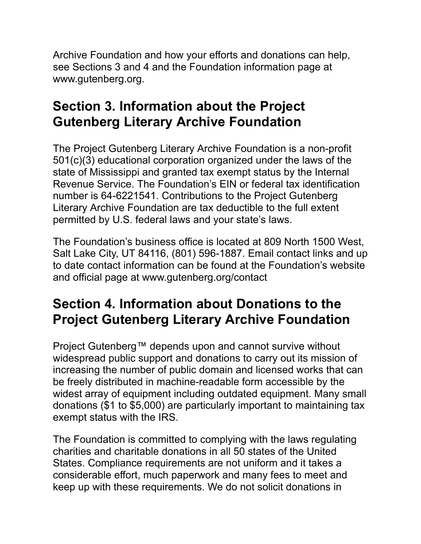Archive Foundation and how your efforts and donations can help, see Sections 3 and 4 and the Foundation information page at www.gutenberg.org.

## **Section 3. Information about the Project Gutenberg Literary Archive Foundation**

The Project Gutenberg Literary Archive Foundation is a non-profit  $501(c)(3)$  educational corporation organized under the laws of the state of Mississippi and granted tax exempt status by the Internal Revenue Service. The Foundation's EIN or federal tax identification number is 64-6221541. Contributions to the Project Gutenberg Literary Archive Foundation are tax deductible to the full extent permtted by U.S. federal laws and your state's laws.

The Foundation's business office is located at 809 North 1500 West, Salt Lake City, UT 84116, (801) 596-1887. Email contact links and up to date contact information can be found at the Foundation's website and official page at www.gutenberg.org/contact

## **Section 4. Information about Donations to the Project Gutenberg Literary Archive Foundation**

Project Gutenberg™ depends upon and cannot survive without widespread public support and donations to carry out its mission of increasing the number of public domain and licensed works that can be freely distributed in machine-readable form accessible by the widest array of equipment including outdated equipment. Many small donations (\$1 to \$5,000) are particularly important to maintaining tax exempt status with the IRS.

The Foundation is committed to complying with the laws regulating charities and charitable donations in all 50 states of the United States. Compliance requirements are not uniform and it takes a consderable effort, much paperwork and many fees to meet and keep up with these requirements. We do not solicit donations in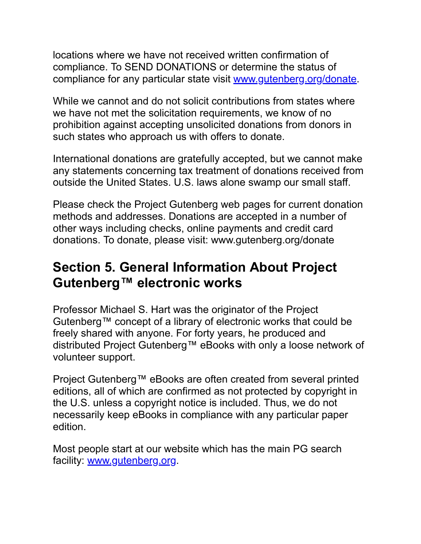locations where we have not received written confirmation of compliance. To SEND DONATIONS or determine the status of compliance for any particular state visit [www.gutenberg.org/donate.](https://www.gutenberg.org/donate/)

While we cannot and do not solicit contributions from states where we have not met the solicitation requirements, we know of no prohibition against accepting unsolicited donations from donors in such states who approach us with offers to donate.

International donations are gratefully accepted, but we cannot make any statements concerning tax treatment of donations received from outside the United States. U.S. laws alone swamp our small staff.

Please check the Project Gutenberg web pages for current donation methods and addresses. Donations are accepted in a number of other ways including checks, online payments and credit card donations. To donate, please visit: www.gutenberg.org/donate

#### **Section 5. General Information About Project Gutenberg™ electronic works**

Professor Michael S. Hart was the originator of the Project Gutenberg™ concept of a library of electronic works that could be freely shared wth anyone. For forty years, he produced and distributed Project Gutenberg™ eBooks with only a loose network of volunteer support.

Project Gutenberg™ eBooks are often created from several printed editions, all of which are confirmed as not protected by copyright in the U.S. unless a copyright notice is included. Thus, we do not necessarily keep eBooks in compliance with any particular paper edition.

Most people start at our website which has the main PG search facility: [www.gutenberg.org.](https://www.gutenberg.org/)